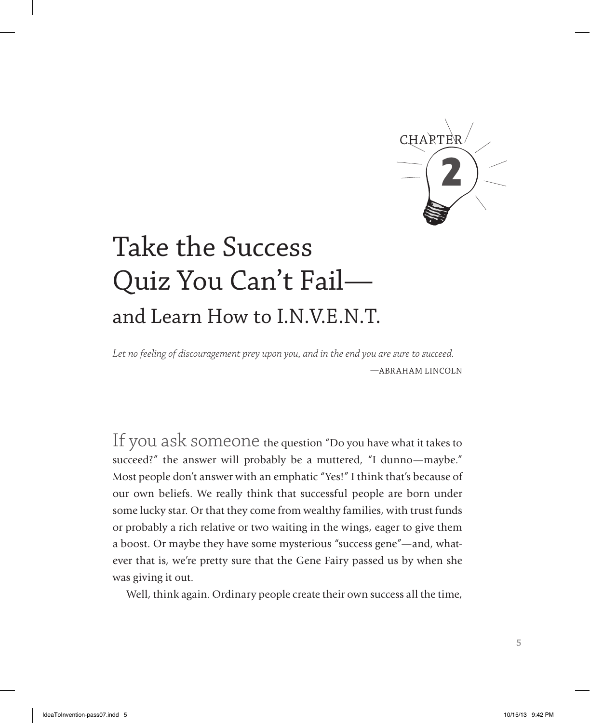

# Take the Success Quiz You Can't Fail and Learn How to I.N.V.E.N.T.

*Let no feeling of discouragement prey upon you, and in the end you are sure to succeed.* —ABRAHAM LINCOLN

If you ask someone the question "Do you have what it takes to succeed?" the answer will probably be a muttered, "I dunno—maybe." Most people don't answer with an emphatic "Yes!" I think that's because of our own beliefs. We really think that successful people are born under some lucky star. Or that they come from wealthy families, with trust funds or probably a rich relative or two waiting in the wings, eager to give them a boost. Or maybe they have some mysterious "success gene"—and, whatever that is, we're pretty sure that the Gene Fairy passed us by when she was giving it out.

Well, think again. Ordinary people create their own success all the time,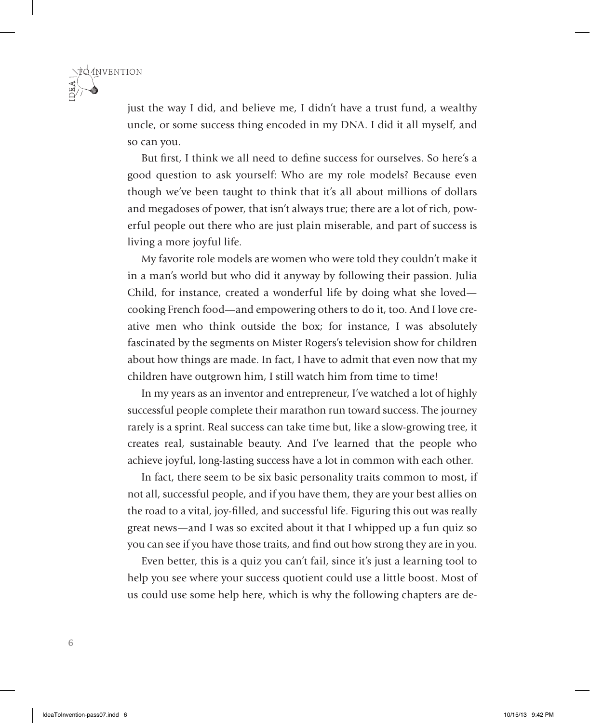

just the way I did, and believe me, I didn't have a trust fund, a wealthy uncle, or some success thing encoded in my DNA. I did it all myself, and so can you.

But first, I think we all need to define success for ourselves. So here's a good question to ask yourself: Who are my role models? Because even though we've been taught to think that it's all about millions of dollars and megadoses of power, that isn't always true; there are a lot of rich, powerful people out there who are just plain miserable, and part of success is living a more joyful life.

My favorite role models are women who were told they couldn't make it in a man's world but who did it anyway by following their passion. Julia Child, for instance, created a wonderful life by doing what she loved cooking French food—and empowering others to do it, too. And I love creative men who think outside the box; for instance, I was absolutely fascinated by the segments on Mister Rogers's television show for children about how things are made. In fact, I have to admit that even now that my children have outgrown him, I still watch him from time to time!

In my years as an inventor and entrepreneur, I've watched a lot of highly successful people complete their marathon run toward success. The journey rarely is a sprint. Real success can take time but, like a slow-growing tree, it creates real, sustainable beauty. And I've learned that the people who achieve joyful, long-lasting success have a lot in common with each other.

In fact, there seem to be six basic personality traits common to most, if not all, successful people, and if you have them, they are your best allies on the road to a vital, joy-filled, and successful life. Figuring this out was really great news—and I was so excited about it that I whipped up a fun quiz so you can see if you have those traits, and find out how strong they are in you.

Even better, this is a quiz you can't fail, since it's just a learning tool to help you see where your success quotient could use a little boost. Most of us could use some help here, which is why the following chapters are de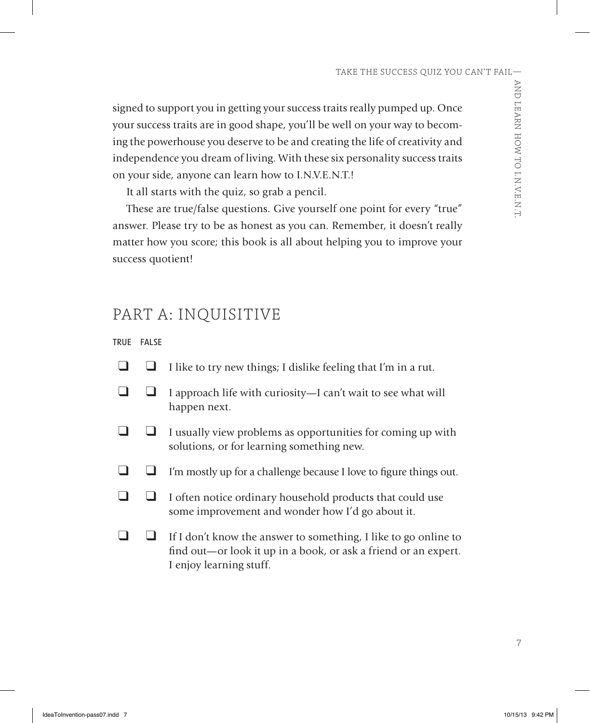signed to support you in getting your success traits really pumped up. Once your success traits are in good shape, you'll be well on your way to becoming the powerhouse you deserve to be and creating the life of creativity and independence you dream of living. With these six personality success traits on your side, anyone can learn how to I.N.V.E.N.T.!

It all starts with the quiz, so grab a pencil.

These are true/false questions. Give yourself one point for every "true" answer. Please try to be as honest as you can. Remember, it doesn't really matter how you score; this book is all about helping you to improve your success quotient!

## PART A: INQUISITIVE

TRUE FALSE

- $\Box$  I like to try new things; I dislike feeling that I'm in a rut.
- $\Box$  I approach life with curiosity—I can't wait to see what will happen next.
- $\Box$  I usually view problems as opportunities for coming up with solutions, or for learning something new.
- $\Box$  I'm mostly up for a challenge because I love to figure things out.
- ❑ ❑ I often notice ordinary household products that could use some improvement and wonder how I'd go about it.
- $\Box$  If I don't know the answer to something, I like to go online to find out—or look it up in a book, or ask a friend or an expert. I enjoy learning stuff.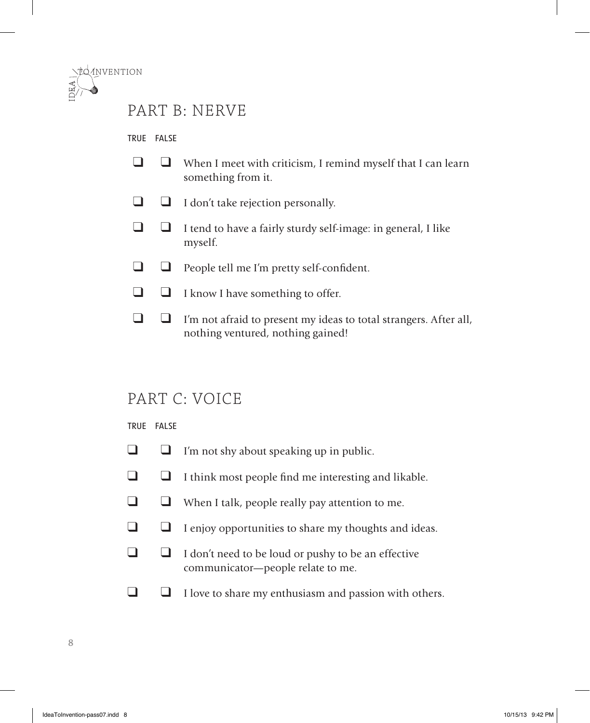

## PART B: NERVE

#### TRUE FALSE

- $\Box$  When I meet with criticism, I remind myself that I can learn something from it.
- ❑ ❑ I don't take rejection personally.
- $\Box$  I tend to have a fairly sturdy self-image: in general, I like myself.
- ❑ ❑ People tell me I'm pretty self-confident.
- $\Box$  I know I have something to offer.
- ❑ ❑ I'm not afraid to present my ideas to total strangers. After all, nothing ventured, nothing gained!

## PART C: VOICE

#### TRUE FALSE

- $\Box$  I'm not shy about speaking up in public.
- $\Box$  I think most people find me interesting and likable.
- $\Box$  When I talk, people really pay attention to me.
- ❑ ❑ I enjoy opportunities to share my thoughts and ideas.
- $\Box$  I don't need to be loud or pushy to be an effective communicator—people relate to me.
- $\Box$  I love to share my enthusiasm and passion with others.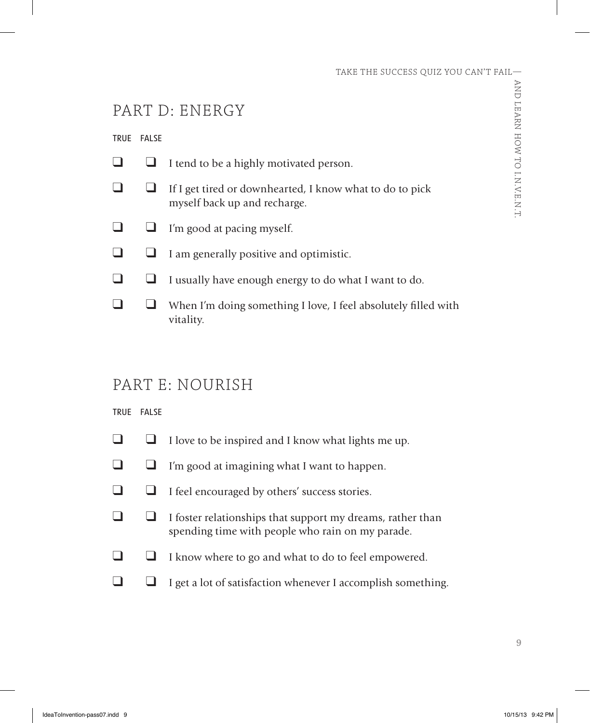#### Take the Success Quiz You Can't Fail—

# PART D: ENERGY

TRUE FALSE

- ❑ ❑ I tend to be a highly motivated person.
- ❑ ❑ If I get tired or downhearted, I know what to do to pick myself back up and recharge.
- $\Box$  I'm good at pacing myself.
- $\Box$  I am generally positive and optimistic.
- $\Box$  I usually have enough energy to do what I want to do.
- $\Box$  When I'm doing something I love, I feel absolutely filled with vitality.

# PART E: NOURISH

#### TRUE FALSE

- $\Box$  I love to be inspired and I know what lights me up.
- $\Box$   $\Box$  I'm good at imagining what I want to happen.
- ❑ ❑ I feel encouraged by others' success stories.
- ❑ ❑ I foster relationships that support my dreams, rather than spending time with people who rain on my parade.
- ❑ ❑ I know where to go and what to do to feel empowered.
- $\Box$  I get a lot of satisfaction whenever I accomplish something.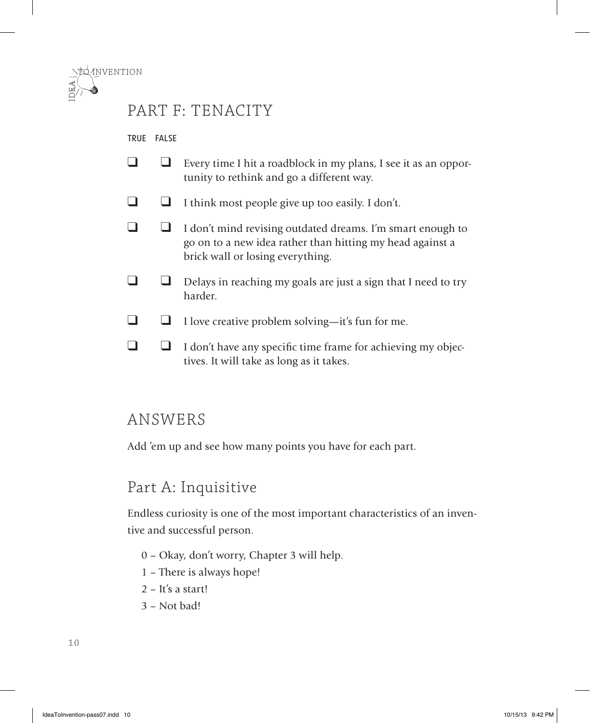

## PART F: TENACITY

#### TRUE FALSE

- $\Box$  Every time I hit a roadblock in my plans, I see it as an opportunity to rethink and go a different way.
- ❑ ❑ I think most people give up too easily. I don't.
- ❑ ❑ I don't mind revising outdated dreams. I'm smart enough to go on to a new idea rather than hitting my head against a brick wall or losing everything.
- $\Box$   $\Box$  Delays in reaching my goals are just a sign that I need to try harder.
- $\Box$  I love creative problem solving—it's fun for me.
- $\Box$  I don't have any specific time frame for achieving my objectives. It will take as long as it takes.

#### ANSWERS

Add 'em up and see how many points you have for each part.

## Part A: Inquisitive

Endless curiosity is one of the most important characteristics of an inventive and successful person.

- 0 Okay, don't worry, Chapter 3 will help.
- 1 There is always hope!
- 2 It's a start!
- 3 Not bad!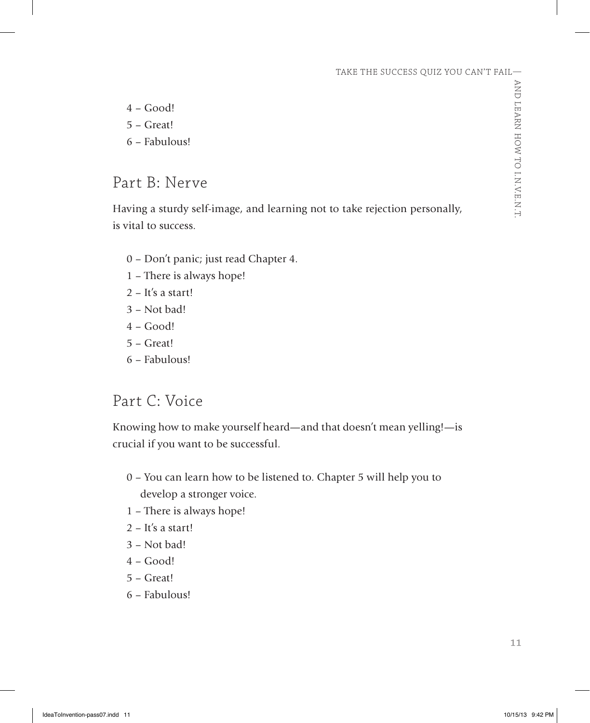Take the Success Quiz You Can't Fail—

- 4 Good!
- 5 Great!
- 6 Fabulous!

## Part B: Nerve

Having a sturdy self-image, and learning not to take rejection personally, is vital to success.

- 0 Don't panic; just read Chapter 4.
- 1 There is always hope!
- 2 It's a start!
- 3 Not bad!
- 4 Good!
- 5 Great!
- 6 Fabulous!

#### Part C: Voice

Knowing how to make yourself heard—and that doesn't mean yelling!—is crucial if you want to be successful.

- 0 You can learn how to be listened to. Chapter 5 will help you to develop a stronger voice.
- 1 There is always hope!
- 2 It's a start!
- 3 Not bad!
- 4 Good!
- 5 Great!
- 6 Fabulous!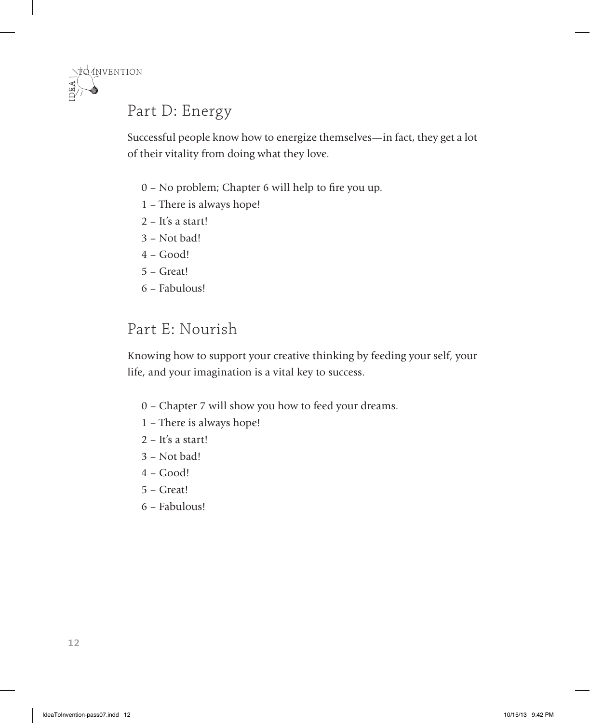

# Part D: Energy

Successful people know how to energize themselves—in fact, they get a lot of their vitality from doing what they love.

- 0 No problem; Chapter 6 will help to fire you up.
- 1 There is always hope!
- 2 It's a start!
- 3 Not bad!
- 4 Good!
- 5 Great!
- 6 Fabulous!

## Part E: Nourish

Knowing how to support your creative thinking by feeding your self, your life, and your imagination is a vital key to success.

- 0 Chapter 7 will show you how to feed your dreams.
- 1 There is always hope!
- 2 It's a start!
- 3 Not bad!
- 4 Good!
- 5 Great!
- 6 Fabulous!